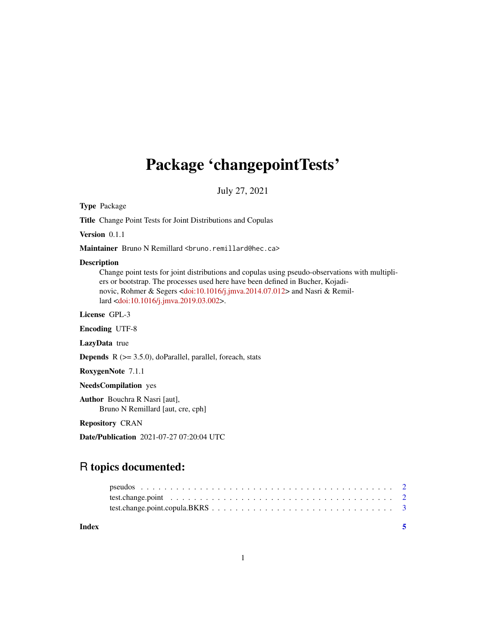## Package 'changepointTests'

July 27, 2021

Type Package

Title Change Point Tests for Joint Distributions and Copulas

Version 0.1.1

Maintainer Bruno N Remillard <br/>bruno.remillard@hec.ca>

#### Description

Change point tests for joint distributions and copulas using pseudo-observations with multipliers or bootstrap. The processes used here have been defined in Bucher, Kojadinovic, Rohmer & Segers [<doi:10.1016/j.jmva.2014.07.012>](https://doi.org/10.1016/j.jmva.2014.07.012) and Nasri & Remillard [<doi:10.1016/j.jmva.2019.03.002>](https://doi.org/10.1016/j.jmva.2019.03.002).

License GPL-3

Encoding UTF-8

LazyData true

Depends R (>= 3.5.0), doParallel, parallel, foreach, stats

RoxygenNote 7.1.1

NeedsCompilation yes

Author Bouchra R Nasri [aut], Bruno N Remillard [aut, cre, cph]

Repository CRAN

Date/Publication 2021-07-27 07:20:04 UTC

### R topics documented:

| test.change.point $\ldots \ldots \ldots \ldots \ldots \ldots \ldots \ldots \ldots \ldots \ldots \ldots \ldots$ |  |
|----------------------------------------------------------------------------------------------------------------|--|
|                                                                                                                |  |

**Index** [5](#page-4-0). The second state of the second state of the second state of the second state of the second state of the second state of the second state of the second state of the second state of the second state of the second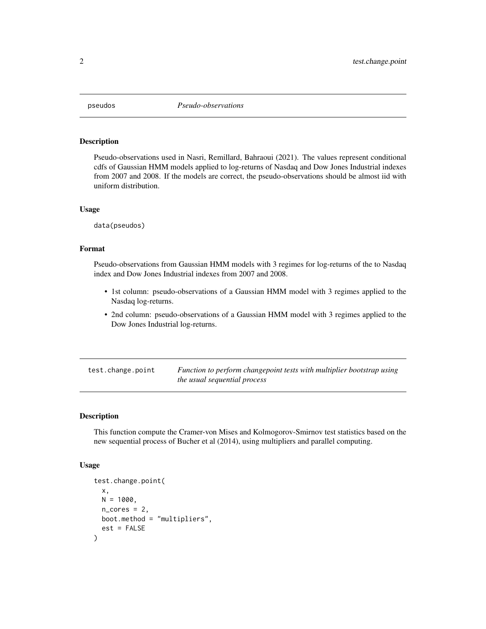<span id="page-1-0"></span>

#### **Description**

Pseudo-observations used in Nasri, Remillard, Bahraoui (2021). The values represent conditional cdfs of Gaussian HMM models applied to log-returns of Nasdaq and Dow Jones Industrial indexes from 2007 and 2008. If the models are correct, the pseudo-observations should be almost iid with uniform distribution.

#### Usage

data(pseudos)

#### Format

Pseudo-observations from Gaussian HMM models with 3 regimes for log-returns of the to Nasdaq index and Dow Jones Industrial indexes from 2007 and 2008.

- 1st column: pseudo-observations of a Gaussian HMM model with 3 regimes applied to the Nasdaq log-returns.
- 2nd column: pseudo-observations of a Gaussian HMM model with 3 regimes applied to the Dow Jones Industrial log-returns.

test.change.point *Function to perform changepoint tests with multiplier bootstrap using the usual sequential process*

#### **Description**

This function compute the Cramer-von Mises and Kolmogorov-Smirnov test statistics based on the new sequential process of Bucher et al (2014), using multipliers and parallel computing.

#### Usage

```
test.change.point(
  x,
 N = 1000,
  n_{\text{cores}} = 2,
  boot.method = "multipliers",
  est = FALSE)
```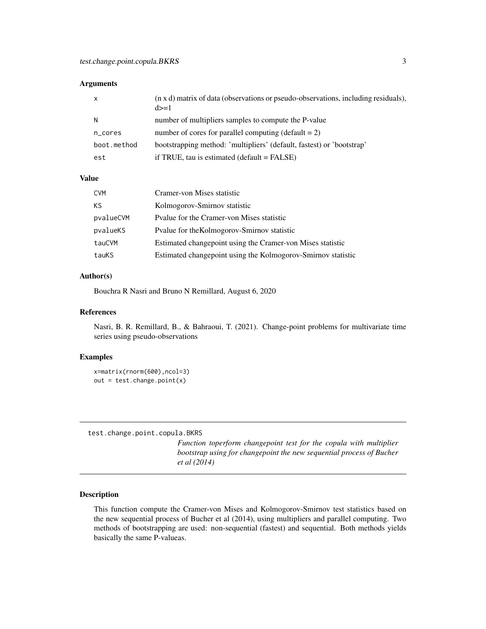#### <span id="page-2-0"></span>Arguments

| x           | (n x d) matrix of data (observations or pseudo-observations, including residuals),<br>$d>=1$ |
|-------------|----------------------------------------------------------------------------------------------|
| N           | number of multipliers samples to compute the P-value                                         |
| n_cores     | number of cores for parallel computing $(detault = 2)$                                       |
| boot.method | bootstrapping method: 'multipliers' (default, fastest) or 'bootstrap'                        |
| est         | if TRUE, tau is estimated $(default = FALSE)$                                                |

#### Value

| <b>CVM</b> | Cramer-von Mises statistic                                   |
|------------|--------------------------------------------------------------|
| КS         | Kolmogorov-Smirnov statistic                                 |
| pvalueCVM  | Pvalue for the Cramer-von Mises statistic                    |
| pvalueKS   | Pvalue for the Kolmogorov-Smirnov statistic                  |
| tauCVM     | Estimated changepoint using the Cramer-von Mises statistic   |
| tauKS      | Estimated changepoint using the Kolmogorov-Smirnov statistic |

#### Author(s)

Bouchra R Nasri and Bruno N Remillard, August 6, 2020

#### References

Nasri, B. R. Remillard, B., & Bahraoui, T. (2021). Change-point problems for multivariate time series using pseudo-observations

#### Examples

```
x=matrix(rnorm(600),ncol=3)
out = test.change.point(x)
```
test.change.point.copula.BKRS

*Function toperform changepoint test for the copula with multiplier bootstrap using for changepoint the new sequential process of Bucher et al (2014)*

#### Description

This function compute the Cramer-von Mises and Kolmogorov-Smirnov test statistics based on the new sequential process of Bucher et al (2014), using multipliers and parallel computing. Two methods of bootstrapping are used: non-sequential (fastest) and sequential. Both methods yields basically the same P-valueas.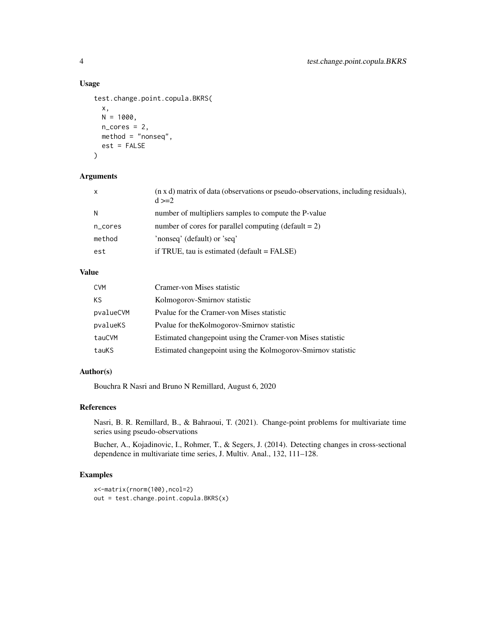#### Usage

```
test.change.point.copula.BKRS(
 x,
 N = 1000,n\_cores = 2,method = "nonseq",
 est = FALSE)
```
#### Arguments

| X       | (n x d) matrix of data (observations or pseudo-observations, including residuals),<br>$d >= 2$ |
|---------|------------------------------------------------------------------------------------------------|
| N       | number of multipliers samples to compute the P-value                                           |
| n_cores | number of cores for parallel computing (default $= 2$ )                                        |
| method  | 'nonseq' (default) or 'seq'                                                                    |
| est     | if TRUE, tau is estimated (default $=$ FALSE)                                                  |

#### Value

| <b>CVM</b> | Cramer-von Mises statistic                                   |
|------------|--------------------------------------------------------------|
| KS         | Kolmogorov-Smirnov statistic                                 |
| pvalueCVM  | Pyalue for the Cramer-von Mises statistic                    |
| pvalueKS   | Pvalue for the Kolmogorov-Smirnov statistic                  |
| tauCVM     | Estimated changepoint using the Cramer-von Mises statistic   |
| tauKS      | Estimated changepoint using the Kolmogorov-Smirnov statistic |

#### Author(s)

Bouchra R Nasri and Bruno N Remillard, August 6, 2020

#### References

Nasri, B. R. Remillard, B., & Bahraoui, T. (2021). Change-point problems for multivariate time series using pseudo-observations

Bucher, A., Kojadinovic, I., Rohmer, T., & Segers, J. (2014). Detecting changes in cross-sectional dependence in multivariate time series, J. Multiv. Anal., 132, 111–128.

#### Examples

```
x<-matrix(rnorm(100),ncol=2)
out = test.change.point.copula.BKRS(x)
```